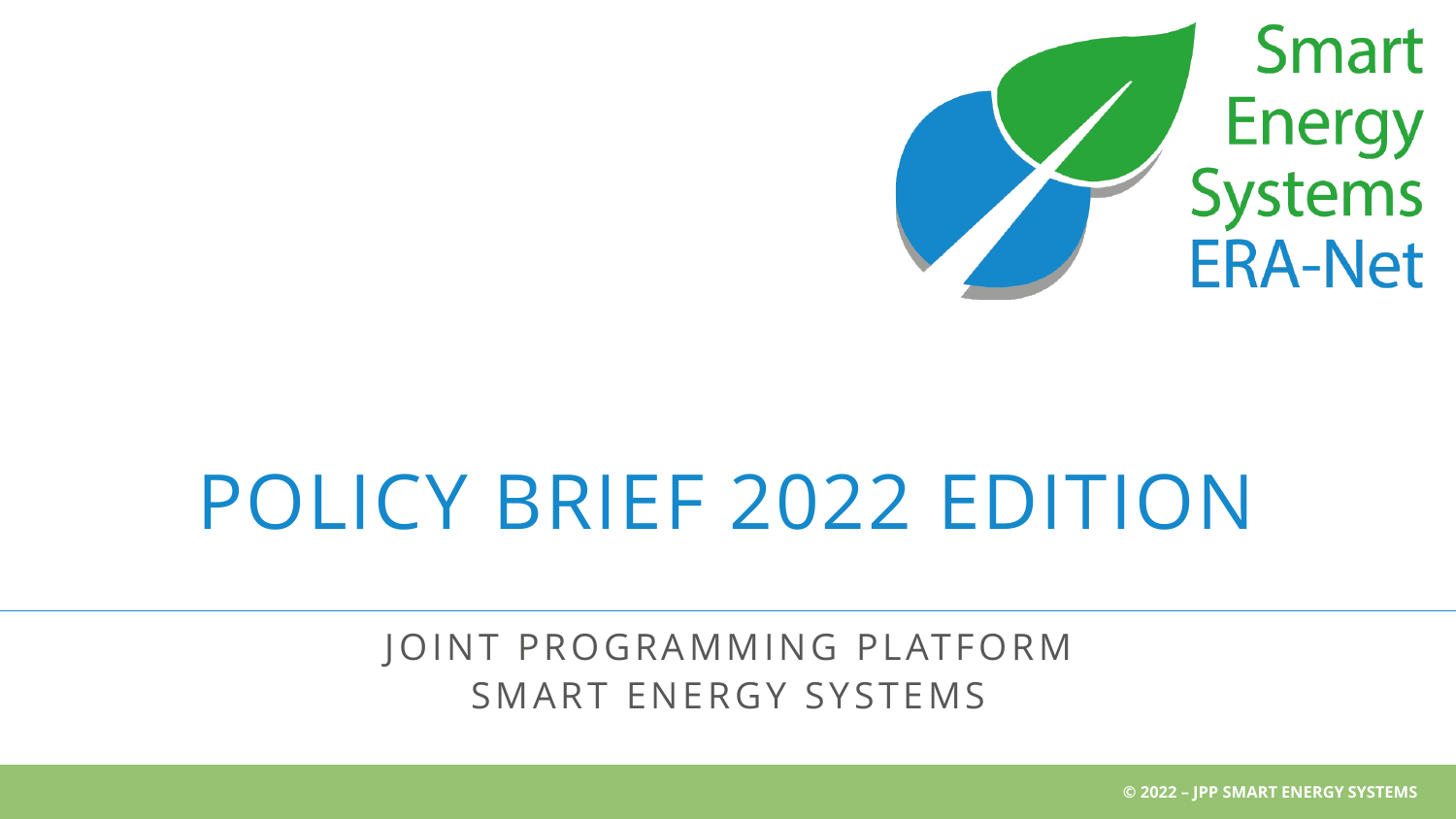

# POLICY BRIEF 2022 EDITION

### JOINT PROGRAMMING PLATFORM SMART ENERGY SYSTEMS

**© 2022 – JPP SMART ENERGY SYSTEMS**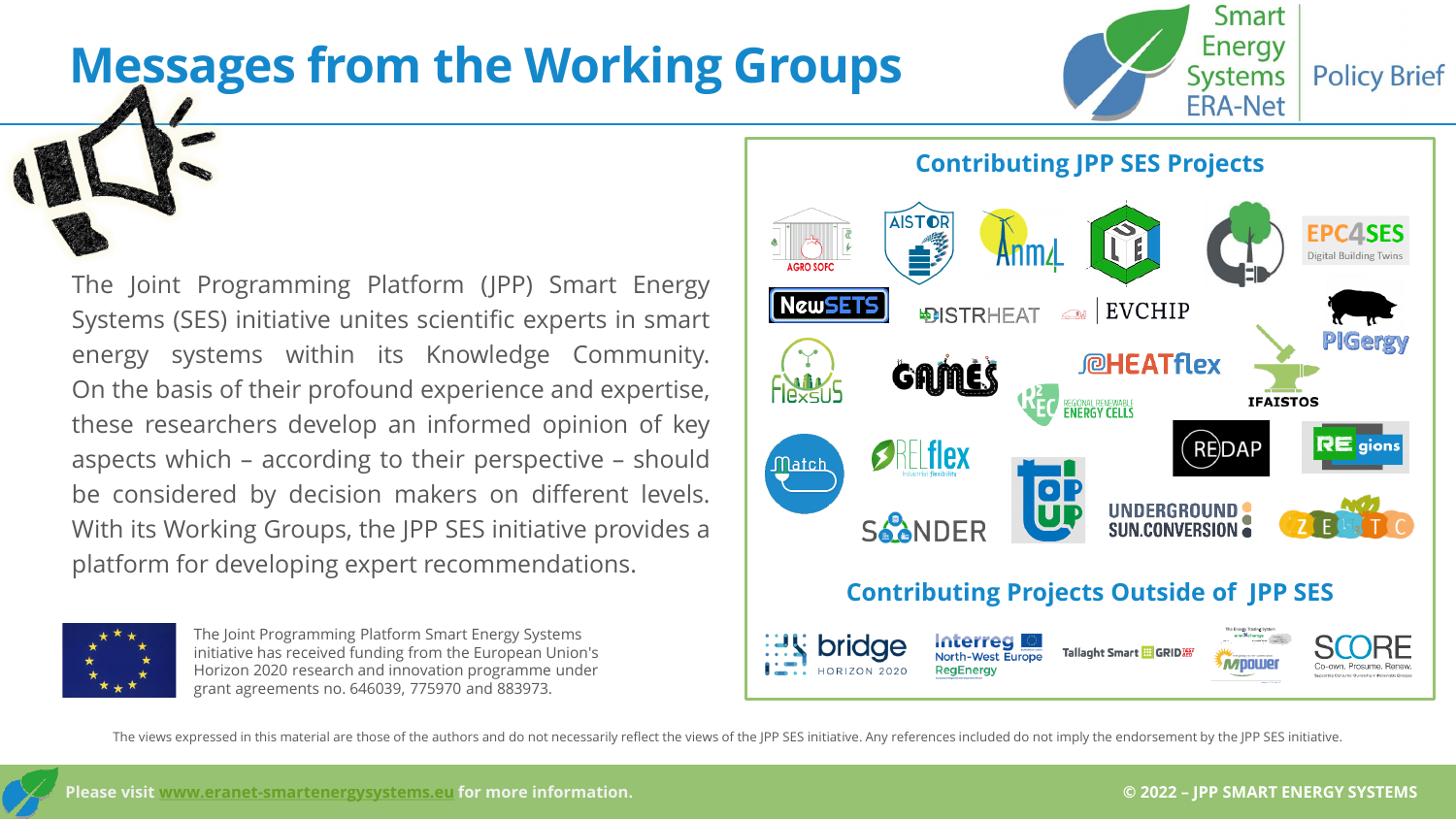## **Messages from the Working Groups**





The Joint Programming Platform Smart Energy Systems initiative has received funding from the European Union's Horizon 2020 research and innovation programme under grant agreements no. 646039, 775970 and 883973.



**Policy Brief** 

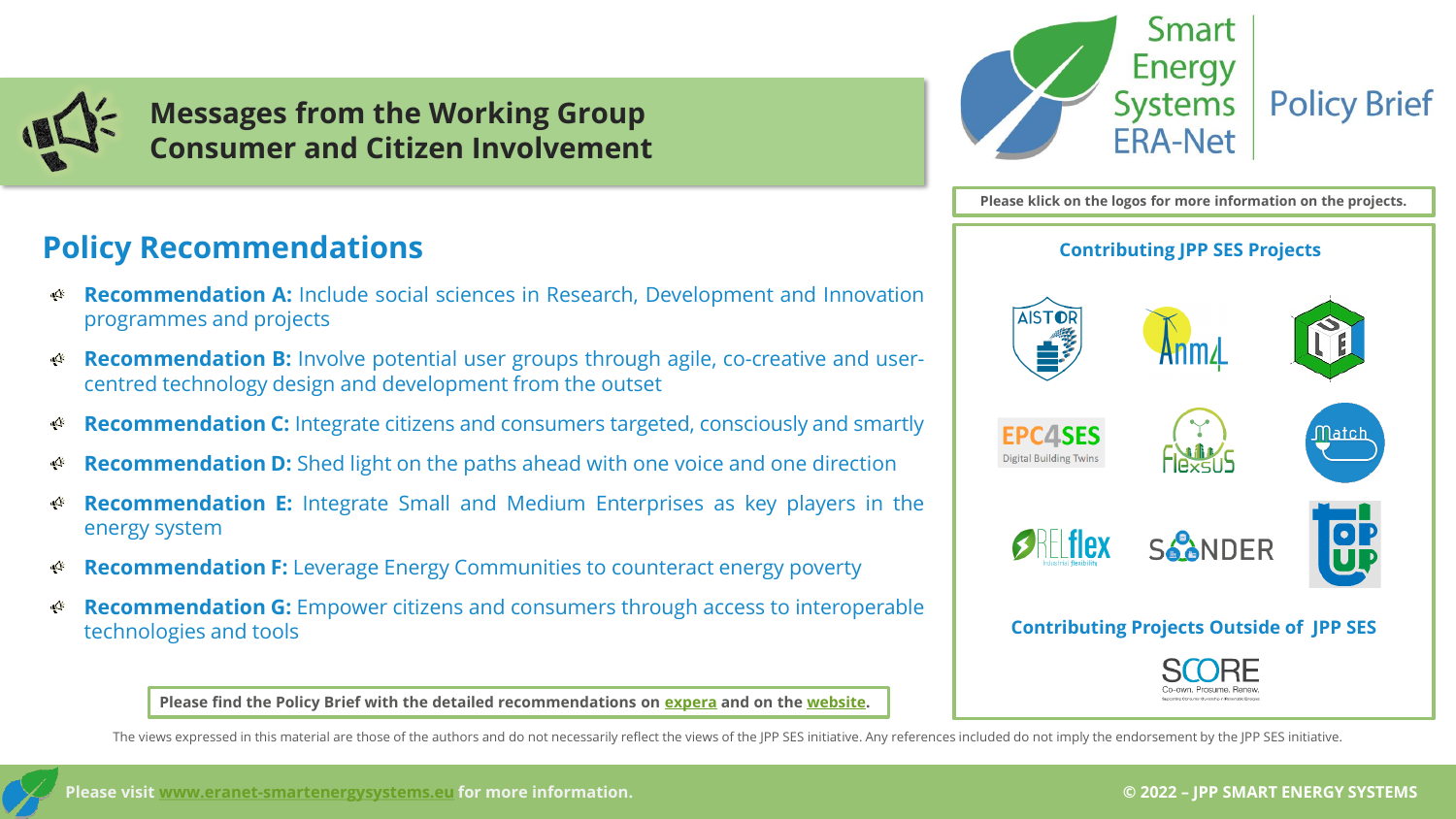



- **Recommendation A:** Include social sciences in Research, Development and Innovation √্^ programmes and projects
- **Recommendation B:** Involve potential user groups through agile, co-creative and userա੍∆⊱ centred technology design and development from the outset
- **Recommendation C:** Integrate citizens and consumers targeted, consciously and smartly ৰ্∆
- **Recommendation D:** Shed light on the paths ahead with one voice and one direction ৰ্∆
- **Recommendation E:** Integrate Small and Medium Enterprises as key players in the ۰Q۴ energy system
- **Recommendation F:** Leverage Energy Communities to counteract energy poverty √Q⊱
- **Recommendation G:** Empower citizens and consumers through access to interoperable ৰ্∆ technologies and tools

**Please find the Policy Brief with the detailed recommendations on [expera](https://expera.smartgridsplus.eu/Navigable%20Site%20Pages/Spotlights.aspx) and on the [website.](https://www.eranet-smartenergysystems.eu/Policy_Briefs_Spotlights)**

Smart **Energy Systems Policy Brief ERA-Net** 

**Please klick on the logos for more information on the projects.**

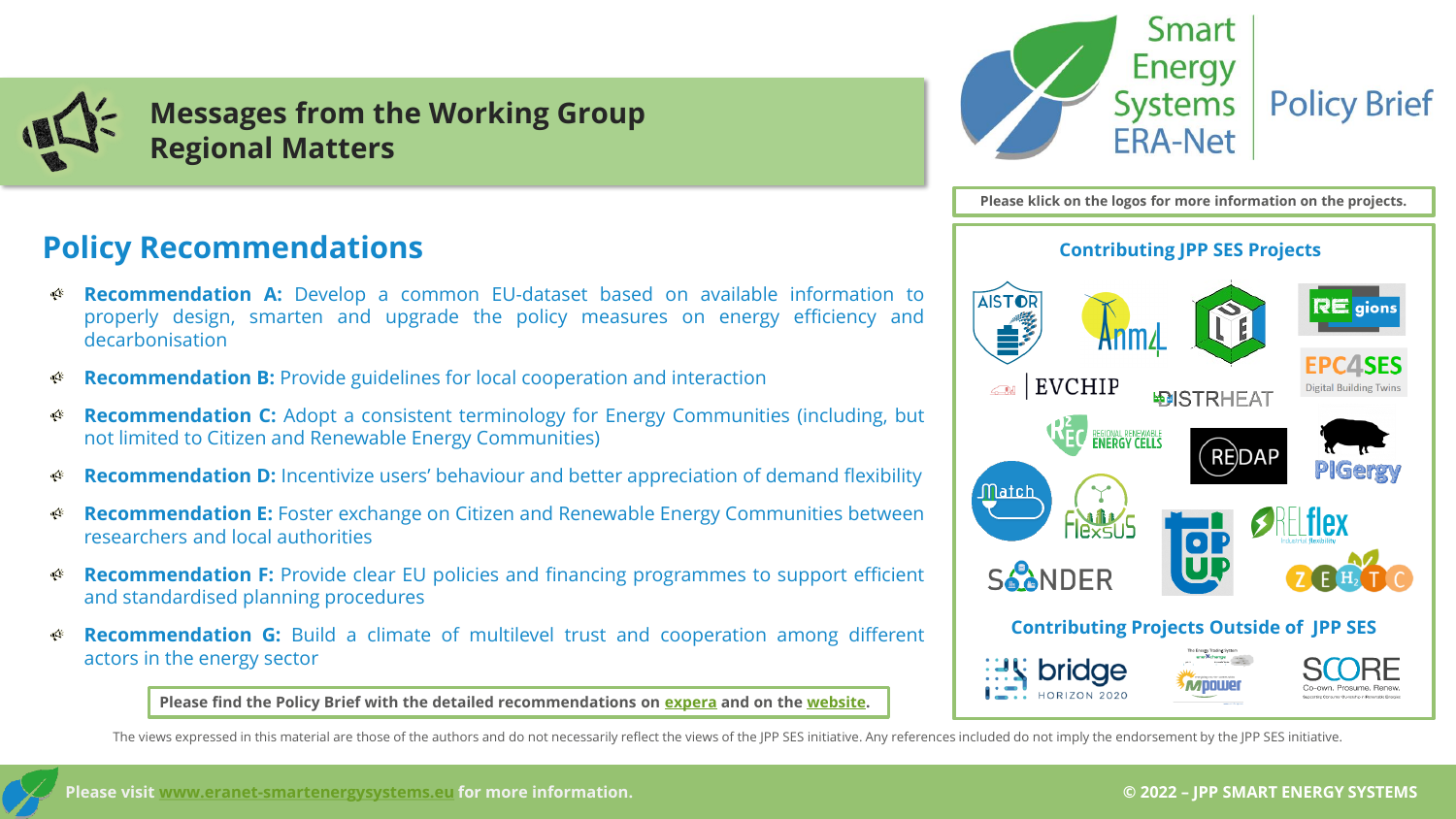



- **Recommendation A:** Develop a common EU-dataset based on available information to ৰ্∕া properly design, smarten and upgrade the policy measures on energy efficiency and decarbonisation
- **Recommendation B:** Provide guidelines for local cooperation and interaction ۰Ą۲
- **Recommendation C:** Adopt a consistent terminology for Energy Communities (including, but щÝ not limited to Citizen and Renewable Energy Communities)
- **Recommendation D:** Incentivize users' behaviour and better appreciation of demand flexibility ৰ্∕া
- **Recommendation E:** Foster exchange on Citizen and Renewable Energy Communities between щÝ researchers and local authorities
- **Recommendation F:** Provide clear EU policies and financing programmes to support efficient ৰ্∕া and standardised planning procedures
- ۰Ņ **Recommendation G:** Build a climate of multilevel trust and cooperation among different actors in the energy sector

**Please find the Policy Brief with the detailed recommendations on [expera](https://expera.smartgridsplus.eu/Navigable%20Site%20Pages/Spotlights.aspx) and on the [website.](https://www.eranet-smartenergysystems.eu/Policy_Briefs_Spotlights)**



**Please klick on the logos for more information on the projects.**

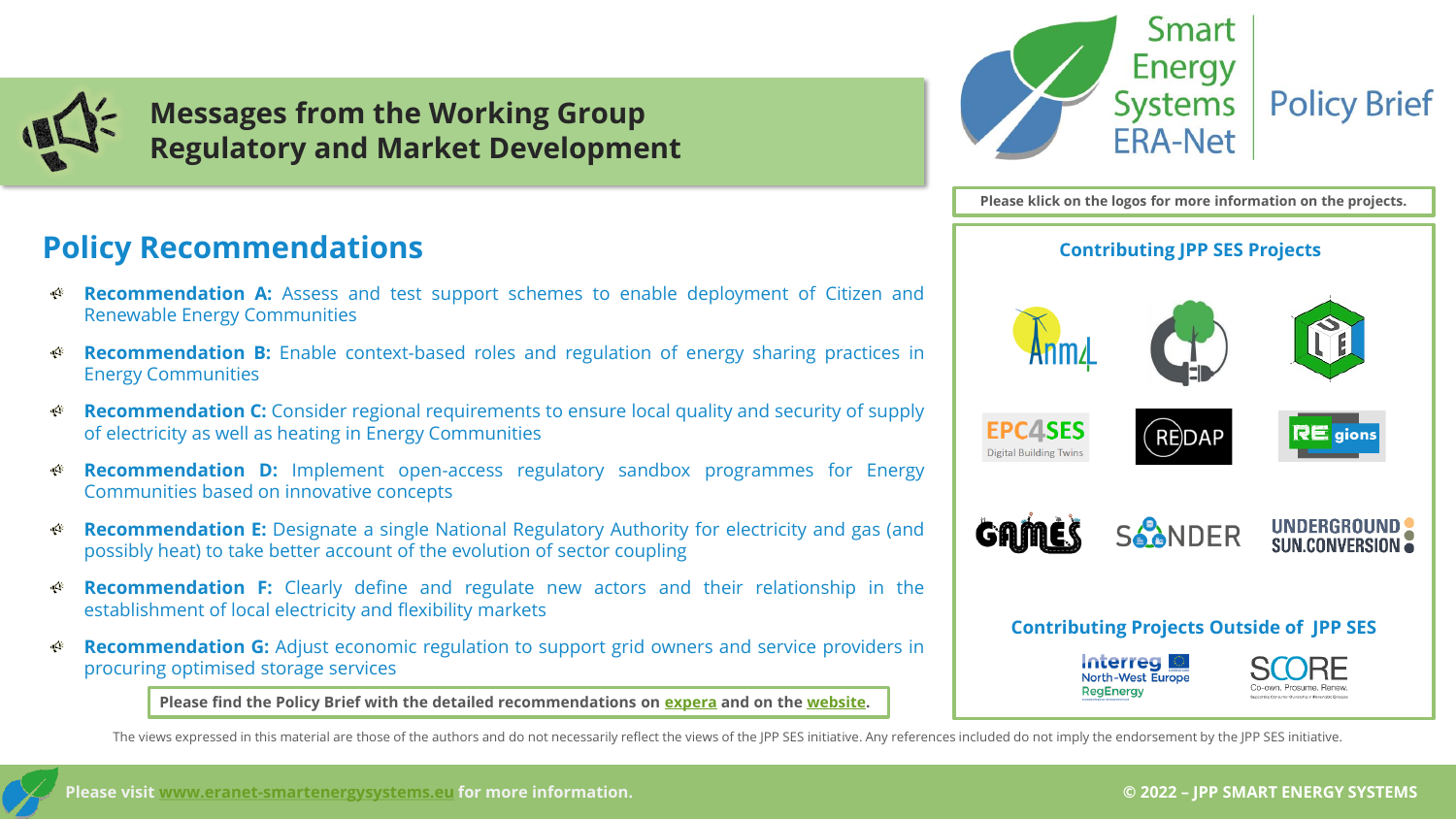

**Messages from the Working Group Regulatory and Market Development**



**Please klick on the logos for more information on the projects. Contributing JPP SES Projects EPC4SES REDAP Digital Building Twins** SCONDER UNDERGROUND **SUN.CONVERSION Contributing Projects Outside of JPP SES Interreg North-West Europe RegEnergy** 

#### **Policy Recommendations**

- **Recommendation A:** Assess and test support schemes to enable deployment of Citizen and щŒ Renewable Energy Communities
- **Recommendation B:** Enable context-based roles and regulation of energy sharing practices in ۰Ą۲ Energy Communities
- **Recommendation C:** Consider regional requirements to ensure local quality and security of supply щŒ of electricity as well as heating in Energy Communities
- **Recommendation D:** Implement open-access regulatory sandbox programmes for Energy щÝ Communities based on innovative concepts
- **Recommendation E:** Designate a single National Regulatory Authority for electricity and gas (and ৰ্∕া possibly heat) to take better account of the evolution of sector coupling
- **Recommendation F:** Clearly define and regulate new actors and their relationship in the щÝ establishment of local electricity and flexibility markets
- **Recommendation G:** Adjust economic regulation to support grid owners and service providers in ∝∆⊱ procuring optimised storage services

**Please find the Policy Brief with the detailed recommendations on [expera](https://expera.smartgridsplus.eu/Navigable%20Site%20Pages/Spotlights.aspx) and on the [website.](https://www.eranet-smartenergysystems.eu/Policy_Briefs_Spotlights)**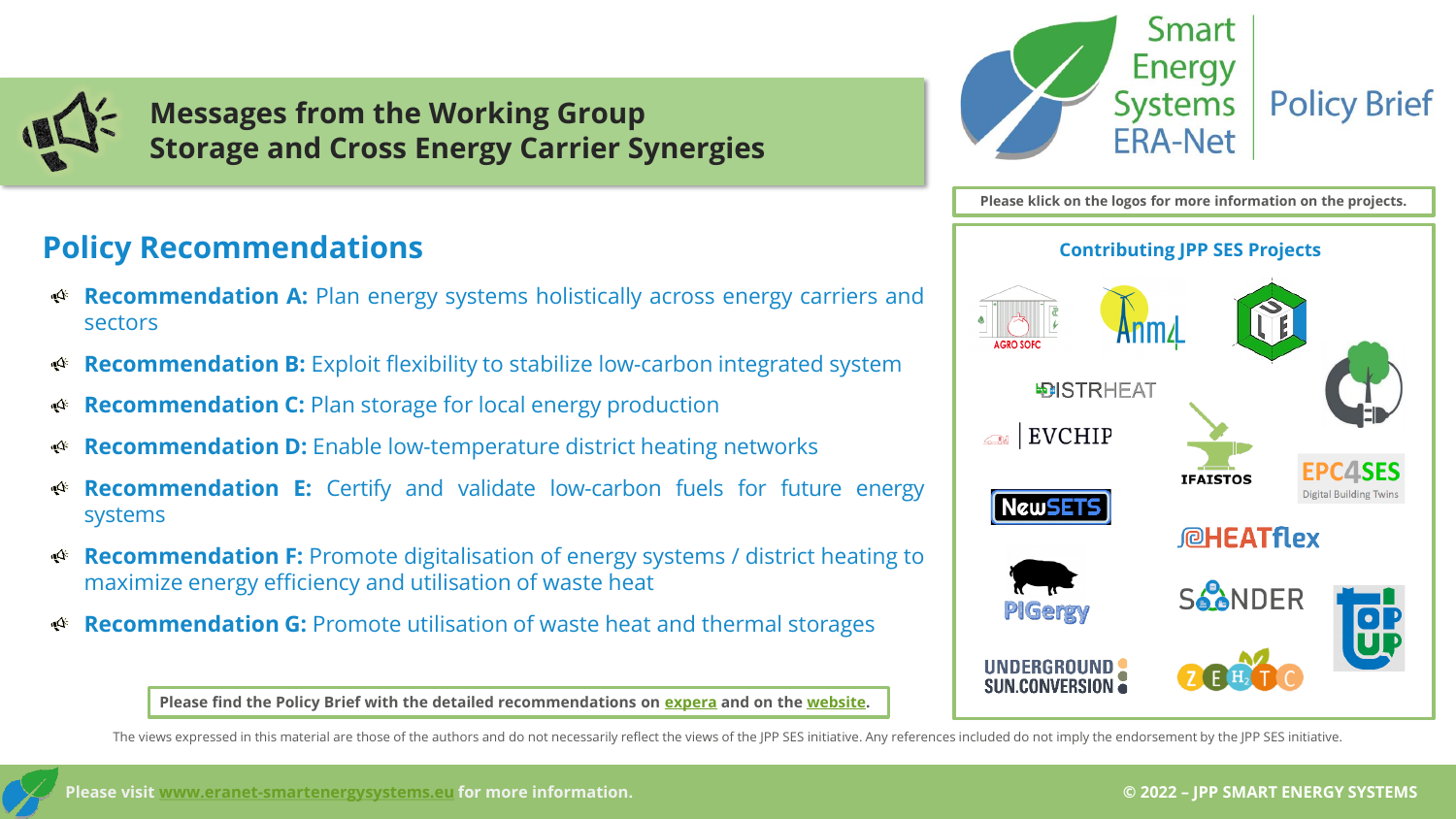

**Messages from the Working Group Storage and Cross Energy Carrier Synergies**

#### **Policy Recommendations**

- **Recommendation A:** Plan energy systems holistically across energy carriers and  $\Delta$ sectors
- **Recommendation B:** Exploit flexibility to stabilize low-carbon integrated system - Qr
- **Recommendation C:** Plan storage for local energy production  $\mathbf{A}^{\epsilon}$
- **Recommendation D:** Enable low-temperature district heating networks  $\mathcal{A}$
- **Recommendation E:** Certify and validate low-carbon fuels for future energy  $\mathfrak{P}$ systems
- **Recommendation F:** Promote digitalisation of energy systems / district heating to  $\mathbf{r}$ maximize energy efficiency and utilisation of waste heat
- **Recommendation G:** Promote utilisation of waste heat and thermal storages  $\mathbf{r}$



**Please klick on the logos for more information on the projects. Contributing JPP SES Projects DISTRHEAT** EVCHIP  $\bigcirc$ **IFAISTOS Digital Building Twins NewSE CHEATflex SAANDER PIGergy** UNDERGROUND SUN.CONVERSION

**Please find the Policy Brief with the detailed recommendations on [expera](https://expera.smartgridsplus.eu/Navigable%20Site%20Pages/Spotlights.aspx) and on the [website.](https://www.eranet-smartenergysystems.eu/Policy_Briefs_Spotlights)**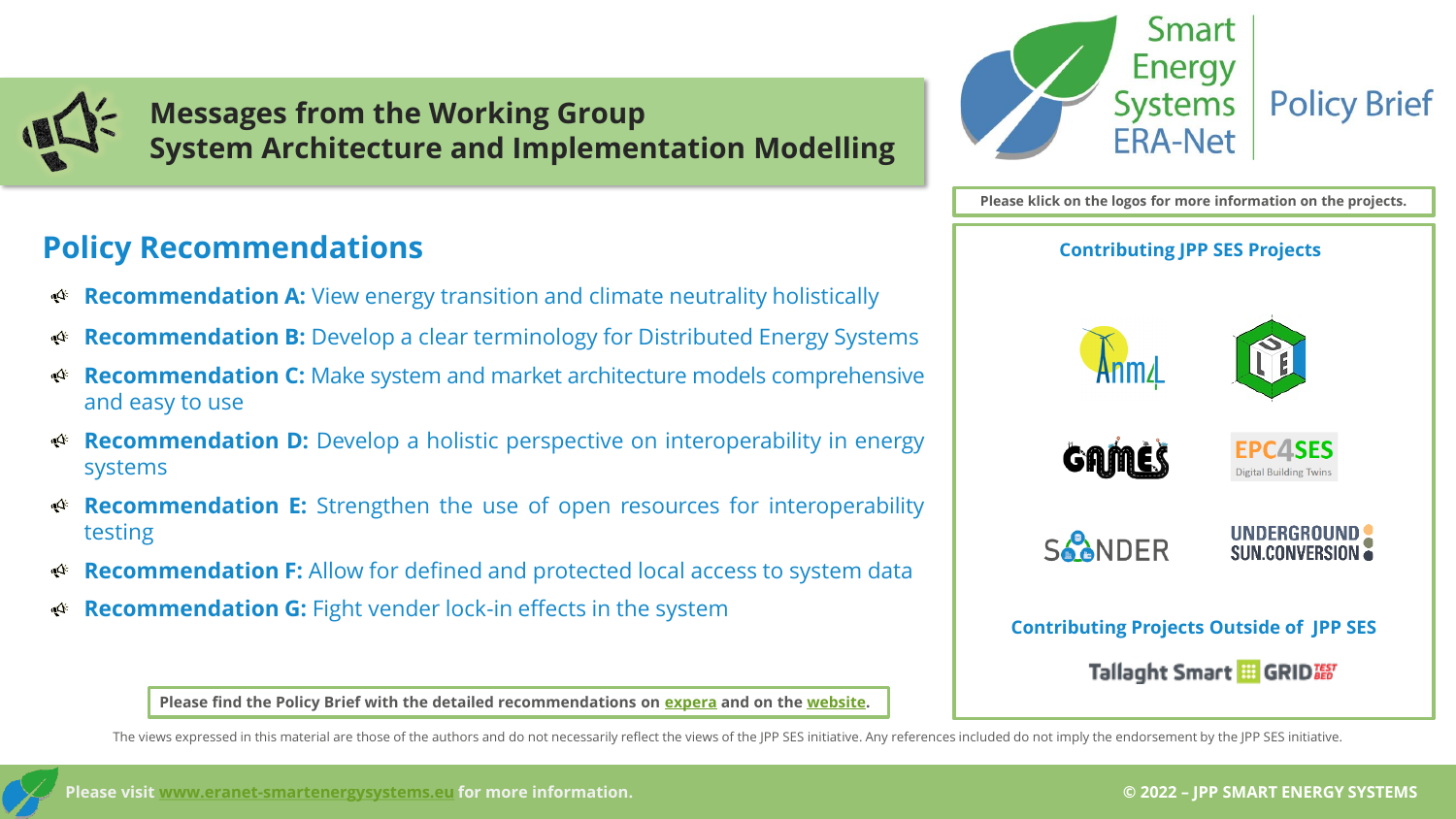**Messages from the Working Group System Architecture and Implementation Modelling**

#### **Policy Recommendations Contributing JPP SES Projects**

- **Recommendation A:** View energy transition and climate neutrality holistically  $\mathcal{A}$
- **Recommendation B:** Develop a clear terminology for Distributed Energy Systems ্⊄
- **Recommendation C:** Make system and market architecture models comprehensive ্∆ and easy to use
- **Recommendation D:** Develop a holistic perspective on interoperability in energy  $\mathbf{A}^{\epsilon}$ systems
- **Recommendation E:** Strengthen the use of open resources for interoperability  $\mathcal{A}$ testing
- **Recommendation F:** Allow for defined and protected local access to system data  $\mathbf{A}$
- **Recommendation G:** Fight vender lock-in effects in the system



**Please klick on the logos for more information on the projects.**



**Please find the Policy Brief with the detailed recommendations on [expera](https://expera.smartgridsplus.eu/Navigable%20Site%20Pages/Spotlights.aspx) and on the [website.](https://www.eranet-smartenergysystems.eu/Policy_Briefs_Spotlights)**

The views expressed in this material are those of the authors and do not necessarily reflect the views of the JPP SES initiative. Any references included do not imply the endorsement by the JPP SES initiative.

**© 2022 – JPP SMART ENERGY SYSTEMS**